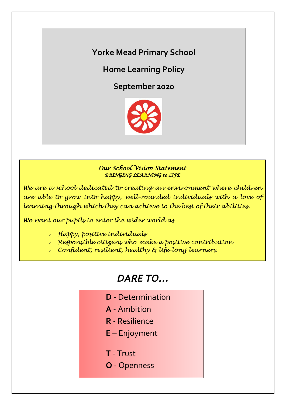**Yorke Mead Primary School**

**Home Learning Policy**

**September 2020**



# *Our School Vision Statement BRINGING LEARNING to LIFE*

*We are a school dedicated to creating an environment where children are able to grow into happy, well-rounded individuals with a love of learning through which they can achieve to the best of their abilities.*

*We want our pupils to enter the wider world as*

- *<sup>o</sup> Happy, positive individuals*
- *<sup>o</sup> Responsible citizens who make a positive contribution*
- *<sup>o</sup> Confident, resilient, healthy & life-long learners.*

# *DARE TO…*

- **D** Determination
- **A** Ambition
- **R** Resilience
- **E** Enjoyment
- **T** Trust
- **O** Openness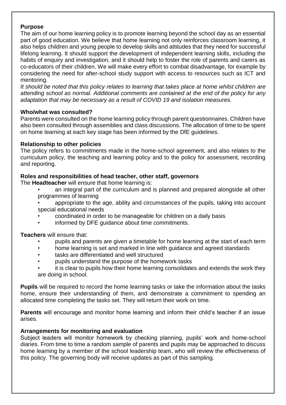## **Purpose**

The aim of our home learning policy is to promote learning beyond the school day as an essential part of good education. We believe that home learning not only reinforces classroom learning, it also helps children and young people to develop skills and attitudes that they need for successful lifelong learning. It should support the development of independent learning skills, including the habits of enquiry and investigation, and it should help to foster the role of parents and carers as co-educators of their children. We will make every effort to combat disadvantage, for example by considering the need for after-school study support with access to resources such as ICT and mentoring.

*It should be noted that this policy relates to learning that takes place at home whilst children are attending school as normal. Additional comments are contained at the end of the policy for any adaptation that may be necessary as a result of COVID 19 and isolation measures.* 

## **Who/what was consulted?**

Parents were consulted on the home learning policy through parent questionnaires. Children have also been consulted through assemblies and class discussions. The allocation of time to be spent on home learning at each key stage has been informed by the DfE guidelines.

# **Relationship to other policies**

The policy refers to commitments made in the home-school agreement, and also relates to the curriculum policy, the teaching and learning policy and to the policy for assessment, recording and reporting.

# **Roles and responsibilities of head teacher, other staff, governors**

The **Headteacher** will ensure that home learning is:

- an integral part of the curriculum and is planned and prepared alongside all other programmes of learning
- appropriate to the age, ability and circumstances of the pupils, taking into account special educational needs
- coordinated in order to be manageable for children on a daily basis
- informed by DFE guidance about time commitments.

**Teachers** will ensure that:

- pupils and parents are given a timetable for home learning at the start of each term
- home learning is set and marked in line with guidance and agreed standards
- tasks are differentiated and well structured
- pupils understand the purpose of the homework tasks
- it is clear to pupils how their home learning consolidates and extends the work they are doing in school.

**Pupils** will be required to record the home learning tasks or take the information about the tasks home, ensure their understanding of them, and demonstrate a commitment to spending an allocated time completing the tasks set. They will return their work on time.

**Parents** will encourage and monitor home learning and inform their child's teacher if an issue arises.

## **Arrangements for monitoring and evaluation**

Subject leaders will monitor homework by checking planning, pupils' work and home-school diaries. From time to time a random sample of parents and pupils may be approached to discuss home learning by a member of the school leadership team, who will review the effectiveness of this policy. The governing body will receive updates as part of this sampling.